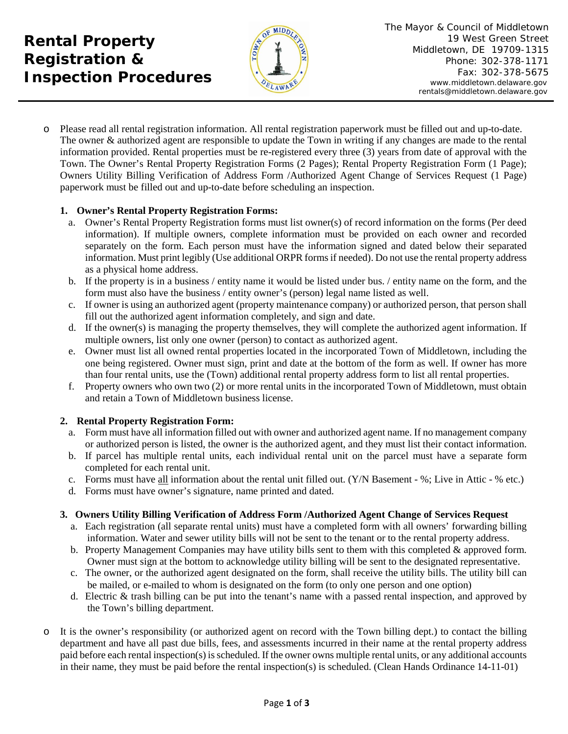**Rental Property Registration & Inspection Procedures**



o Please read all rental registration information. All rental registration paperwork must be filled out and up-to-date. The owner & authorized agent are responsible to update the Town in writing if any changes are made to the rental information provided. Rental properties must be re-registered every three (3) years from date of approval with the Town. The Owner's Rental Property Registration Forms (2 Pages); Rental Property Registration Form (1 Page); Owners Utility Billing Verification of Address Form /Authorized Agent Change of Services Request (1 Page) paperwork must be filled out and up-to-date before scheduling an inspection.

## **1. Owner's Rental Property Registration Forms:**

- a. Owner's Rental Property Registration forms must list owner(s) of record information on the forms (Per deed information). If multiple owners, complete information must be provided on each owner and recorded separately on the form. Each person must have the information signed and dated below their separated information. Must print legibly (Use additional ORPR forms if needed). Do not use the rental property address as a physical home address.
- b. If the property is in a business / entity name it would be listed under bus. / entity name on the form, and the form must also have the business / entity owner's (person) legal name listed as well.
- c. If owner is using an authorized agent (property maintenance company) or authorized person, that person shall fill out the authorized agent information completely, and sign and date.
- d. If the owner(s) is managing the property themselves, they will complete the authorized agent information. If multiple owners, list only one owner (person) to contact as authorized agent.
- e. Owner must list all owned rental properties located in the incorporated Town of Middletown, including the one being registered. Owner must sign, print and date at the bottom of the form as well. If owner has more than four rental units, use the (Town) additional rental property address form to list all rental properties.
- f. Property owners who own two (2) or more rental units in the incorporated Town of Middletown, must obtain and retain a Town of Middletown business license.

## **2. Rental Property Registration Form:**

- a. Form must have all information filled out with owner and authorized agent name. If no management company or authorized person is listed, the owner is the authorized agent, and they must list their contact information.
- b. If parcel has multiple rental units, each individual rental unit on the parcel must have a separate form completed for each rental unit.
- c. Forms must have all information about the rental unit filled out. (Y/N Basement %; Live in Attic % etc.)
- d. Forms must have owner's signature, name printed and dated.

## **3. Owners Utility Billing Verification of Address Form /Authorized Agent Change of Services Request**

- a. Each registration (all separate rental units) must have a completed form with all owners' forwarding billing information. Water and sewer utility bills will not be sent to the tenant or to the rental property address.
- b. Property Management Companies may have utility bills sent to them with this completed  $\&$  approved form. Owner must sign at the bottom to acknowledge utility billing will be sent to the designated representative.
- c. The owner, or the authorized agent designated on the form, shall receive the utility bills. The utility bill can be mailed, or e-mailed to whom is designated on the form (to only one person and one option)
- d. Electric & trash billing can be put into the tenant's name with a passed rental inspection, and approved by the Town's billing department.
- o It is the owner's responsibility (or authorized agent on record with the Town billing dept.) to contact the billing department and have all past due bills, fees, and assessments incurred in their name at the rental property address paid before each rental inspection(s) is scheduled. If the owner owns multiple rental units, or any additional accounts in their name, they must be paid before the rental inspection(s) is scheduled. (Clean Hands Ordinance 14-11-01)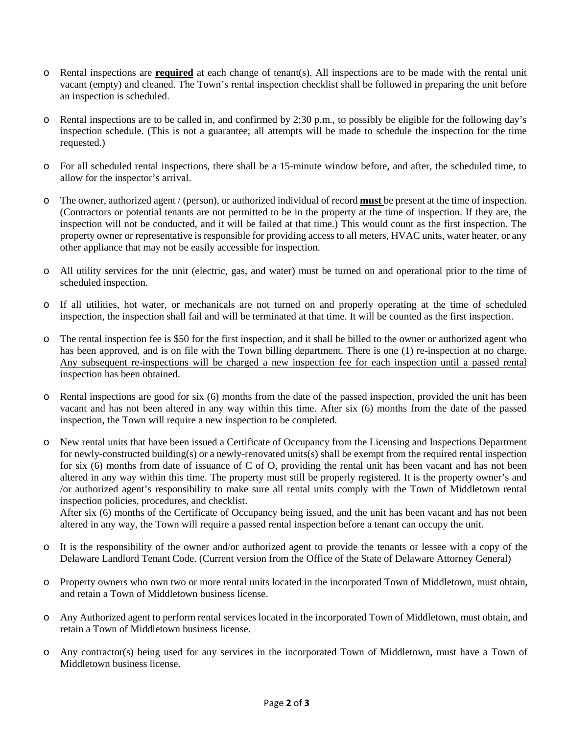- o Rental inspections are **required** at each change of tenant(s). All inspections are to be made with the rental unit vacant (empty) and cleaned. The Town's rental inspection checklist shall be followed in preparing the unit before an inspection is scheduled.
- o Rental inspections are to be called in, and confirmed by 2:30 p.m., to possibly be eligible for the following day's inspection schedule. (This is not a guarantee; all attempts will be made to schedule the inspection for the time requested.)
- o For all scheduled rental inspections, there shall be a 15-minute window before, and after, the scheduled time, to allow for the inspector's arrival.
- o The owner, authorized agent / (person), or authorized individual of record **must** be present at the time of inspection. (Contractors or potential tenants are not permitted to be in the property at the time of inspection. If they are, the inspection will not be conducted, and it will be failed at that time.) This would count as the first inspection. The property owner or representative is responsible for providing access to all meters, HVAC units, water heater, or any other appliance that may not be easily accessible for inspection.
- o All utility services for the unit (electric, gas, and water) must be turned on and operational prior to the time of scheduled inspection.
- o If all utilities, hot water, or mechanicals are not turned on and properly operating at the time of scheduled inspection, the inspection shall fail and will be terminated at that time. It will be counted as the first inspection.
- o The rental inspection fee is \$50 for the first inspection, and it shall be billed to the owner or authorized agent who has been approved, and is on file with the Town billing department. There is one (1) re-inspection at no charge. Any subsequent re-inspections will be charged a new inspection fee for each inspection until a passed rental inspection has been obtained.
- o Rental inspections are good for six (6) months from the date of the passed inspection, provided the unit has been vacant and has not been altered in any way within this time. After six (6) months from the date of the passed inspection, the Town will require a new inspection to be completed.
- o New rental units that have been issued a Certificate of Occupancy from the Licensing and Inspections Department for newly-constructed building(s) or a newly-renovated units(s) shall be exempt from the required rental inspection for six (6) months from date of issuance of C of O, providing the rental unit has been vacant and has not been altered in any way within this time. The property must still be properly registered. It is the property owner's and /or authorized agent's responsibility to make sure all rental units comply with the Town of Middletown rental inspection policies, procedures, and checklist.

After six (6) months of the Certificate of Occupancy being issued, and the unit has been vacant and has not been altered in any way, the Town will require a passed rental inspection before a tenant can occupy the unit.

- o It is the responsibility of the owner and/or authorized agent to provide the tenants or lessee with a copy of the Delaware Landlord Tenant Code. (Current version from the Office of the State of Delaware Attorney General)
- o Property owners who own two or more rental units located in the incorporated Town of Middletown, must obtain, and retain a Town of Middletown business license.
- o Any Authorized agent to perform rental services located in the incorporated Town of Middletown, must obtain, and retain a Town of Middletown business license.
- o Any contractor(s) being used for any services in the incorporated Town of Middletown, must have a Town of Middletown business license.